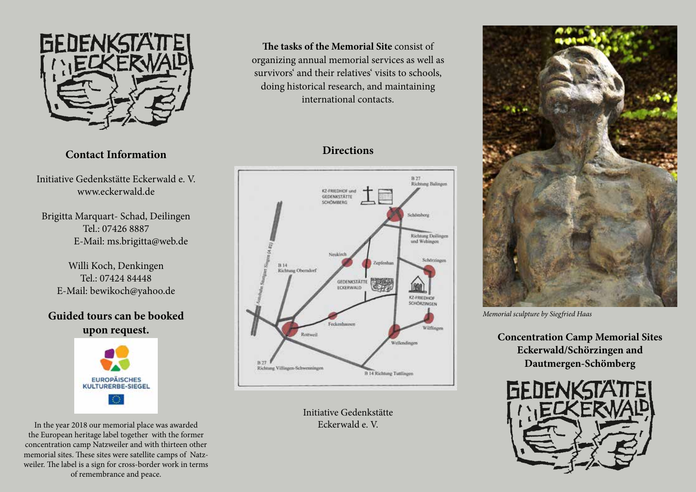

## **Contact Information**

Initiative Gedenkstätte Eckerwald e. V. www.eckerwald.de

Brigitta Marquart- Schad, Deilingen Tel.: 07426 8887 E-Mail: ms.brigitta@web.de

Willi Koch, Denkingen Tel.: 07424 84448 E-Mail: bewikoch@yahoo.de

## **Guided tours can be booked upon request.**



In the year 2018 our memorial place was awarded the European heritage label together with the former concentration camp Natzweiler and with thirteen other memorial sites. These sites were satellite camps of Natzweiler. The label is a sign for cross-border work in terms of remembrance and peace.

**The tasks of the Memorial Site** consist of organizing annual memorial services as well as survivors' and their relatives' visits to schools, doing historical research, and maintaining international contacts.

# **Directions**



Initiative Gedenkstätte Eckerwald e. V.



*Memorial sculpture by Siegfried Haas*

**Concentration Camp Memorial Sites Eckerwald/Schörzingen and Dautmergen-Schömberg**